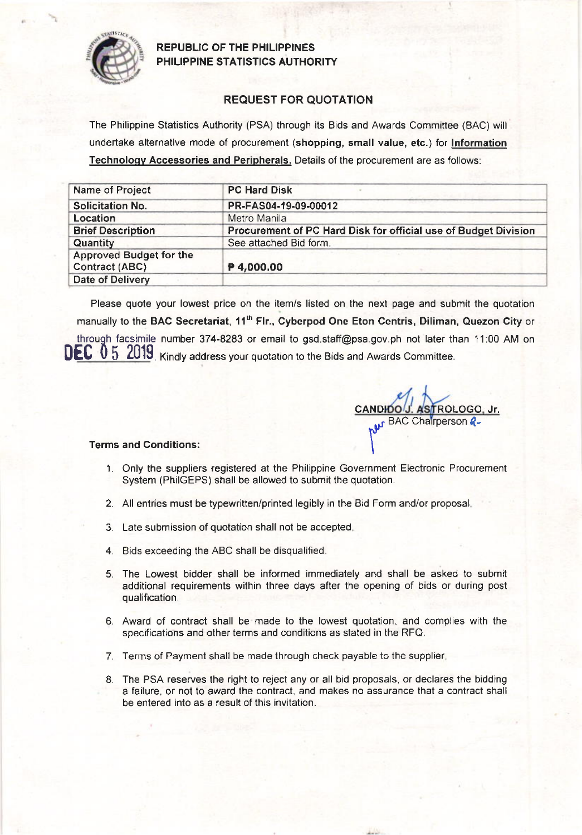

### REPUBLIC OF THE PHILIPPINES PHILIPPINE STATISTICS AUTHORITY

## REQUEST FOR QUOTATION

The Philippine Statistics Authority (PSA) through its Bids and Awards Committee (BAC) will undertake alternative mode of procurement (shopping, small value, etc.) for lnformation Technoloqv Accessories and Peripherals. Details of the procurement are as follows:

| Name of Project                                         | <b>PC Hard Disk</b>                                             |  |  |  |
|---------------------------------------------------------|-----------------------------------------------------------------|--|--|--|
| <b>Solicitation No.</b>                                 | PR-FAS04-19-09-00012                                            |  |  |  |
| Location                                                | Metro Manila                                                    |  |  |  |
| <b>Brief Description</b>                                | Procurement of PC Hard Disk for official use of Budget Division |  |  |  |
| Quantity                                                | See attached Bid form.                                          |  |  |  |
| <b>Approved Budget for the</b><br><b>Contract (ABC)</b> | P 4,000.00                                                      |  |  |  |
| <b>Date of Delivery</b>                                 |                                                                 |  |  |  |

Please quote your lowest price on the item/s listed on the nexl page and submit the quotation manually to the BAC Secretariat, 11<sup>th</sup> Flr., Cyberpod One Eton Centris, Diliman, Quezon City or through facsimile number 374-8283 or email to gsd.staff@psa.gov.ph not later than 11:00 AM on **. Kindly address your quotation to the Bids and Awards Committee.** 

CANDIDO'J'. ASTROLOGO, Jr.<br>
M<sup>yr BAC</sup> Chairperson *R* 

#### Terms and Conditions:

- 1. Only the suppliers registered at the Philippine Government Electronic Procuremenl System (PhilGEPS) shall be allowed to submit the quotation.
- 2. All entries must be typewritten/printed legibly in the Bid Form and/or proposal
- 3. Late submission of quotation shall not be accepted
- 4. Bids exceeding the ABC shall be disqualified
- 5. The Lowest bidder shall be informed immediately and shall be asked to submit additional requirements within three days after the opening of bids or during post qualification.
- 6. Award of contract shall be made to the lowest quotation, and complies with the specifications and other terms and conditions as stated in the RFQ.
- 7. Terms of Payment shall be made through check payable to the supplier
- 8. The PSA reserves the right to reject any or all bid proposals, or declares the bidding a failure, or not to award the contract, and makes no assurance that a contract shall be entered into as a result of this invitation.